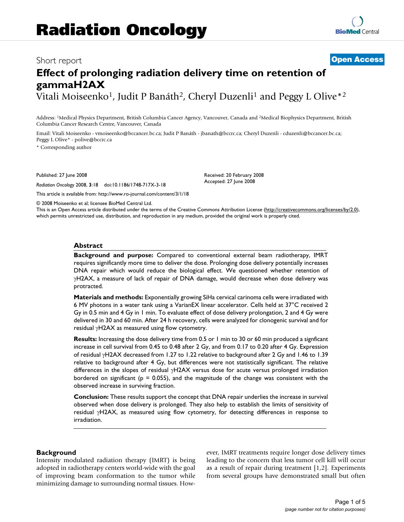# Short report **[Open Access](http://www.biomedcentral.com/info/about/charter/) Effect of prolonging radiation delivery time on retention of gammaH2AX**

Vitali Moiseenko<sup>1</sup>, Judit P Banáth<sup>2</sup>, Cheryl Duzenli<sup>1</sup> and Peggy L Olive<sup>\*2</sup>

Address: 1Medical Physics Department, British Columbia Cancer Agency, Vancouver, Canada and 2Medical Biophysics Department, British Columbia Cancer Research Centre, Vancouver, Canada

Email: Vitali Moiseenko - vmoiseenko@bccancer.bc.ca; Judit P Banáth - jbanath@bccrc.ca; Cheryl Duzenli - cduzenli@bccancer.bc.ca; Peggy L Olive\* - polive@bccrc.ca

\* Corresponding author

Published: 27 June 2008

*Radiation Oncology* 2008, **3**:18 doi:10.1186/1748-717X-3-18

[This article is available from: http://www.ro-journal.com/content/3/1/18](http://www.ro-journal.com/content/3/1/18)

© 2008 Moiseenko et al; licensee BioMed Central Ltd.

This is an Open Access article distributed under the terms of the Creative Commons Attribution License [\(http://creativecommons.org/licenses/by/2.0\)](http://creativecommons.org/licenses/by/2.0), which permits unrestricted use, distribution, and reproduction in any medium, provided the original work is properly cited.

Received: 20 February 2008 Accepted: 27 June 2008

# **Abstract**

**Background and purpose:** Compared to conventional external beam radiotherapy, IMRT requires significantly more time to deliver the dose. Prolonging dose delivery potentially increases DNA repair which would reduce the biological effect. We questioned whether retention of γH2AX, a measure of lack of repair of DNA damage, would decrease when dose delivery was protracted.

**Materials and methods:** Exponentially growing SiHa cervical carinoma cells were irradiated with 6 MV photons in a water tank using a VarianEX linear accelerator. Cells held at 37°C received 2 Gy in 0.5 min and 4 Gy in 1 min. To evaluate effect of dose delivery prolongation, 2 and 4 Gy were delivered in 30 and 60 min. After 24 h recovery, cells were analyzed for clonogenic survival and for residual γH2AX as measured using flow cytometry.

**Results:** Increasing the dose delivery time from 0.5 or 1 min to 30 or 60 min produced a signficant increase in cell survival from 0.45 to 0.48 after 2 Gy, and from 0.17 to 0.20 after 4 Gy. Expression of residual γH2AX decreased from 1.27 to 1.22 relative to background after 2 Gy and 1.46 to 1.39 relative to background after 4 Gy, but differences were not statistically significant. The relative differences in the slopes of residual γH2AX versus dose for acute versus prolonged irradiation bordered on significant ( $p = 0.055$ ), and the magnitude of the change was consistent with the observed increase in surviving fraction.

**Conclusion:** These results support the concept that DNA repair underlies the increase in survival observed when dose delivery is prolonged. They also help to establish the limits of sensitivity of residual γH2AX, as measured using flow cytometry, for detecting differences in response to irradiation.

#### **Background**

Intensity modulated radiation therapy (IMRT) is being adopted in radiotherapy centers world-wide with the goal of improving beam conformation to the tumor while minimizing damage to surrounding normal tissues. However, IMRT treatments require longer dose delivery times leading to the concern that less tumor cell kill will occur as a result of repair during treatment [1,2]. Experiments from several groups have demonstrated small but often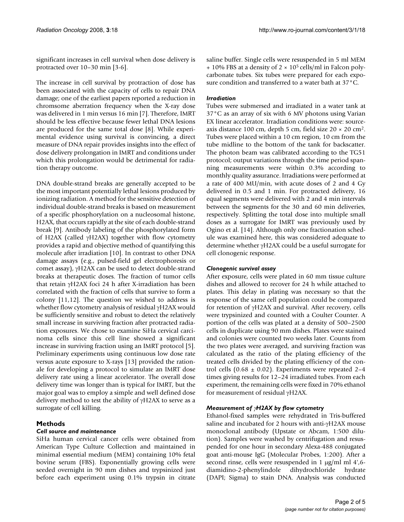significant increases in cell survival when dose delivery is protracted over 10–30 min [3-6].

The increase in cell survival by protraction of dose has been associated with the capacity of cells to repair DNA damage; one of the earliest papers reported a reduction in chromsome aberration frequency when the X-ray dose was delivered in 1 min versus 16 min [7]. Therefore, IMRT should be less effective because fewer lethal DNA lesions are produced for the same total dose [8]. While experimental evidence using survival is convincing, a direct measure of DNA repair provides insights into the effect of dose delivery prolongation in IMRT and conditions under which this prolongation would be detrimental for radiation therapy outcome.

DNA double-strand breaks are generally accepted to be the most important potentially lethal lesions produced by ionizing radiation. A method for the sensitive detection of individual double-strand breaks is based on measurement of a specific phosphorylation on a nucleosomal histone, H2AX, that occurs rapidly at the site of each double-strand break [9]. Antibody labeling of the phosphorylated form of H2AX (called γH2AX) together with flow cytometry provides a rapid and objective method of quantifying this molecule after irradiation [10]. In contrast to other DNA damage assays (e.g., pulsed-field gel electrophoresis or comet assay), γH2AX can be used to detect double-strand breaks at therapeutic doses. The fraction of tumor cells that retain γH2AX foci 24 h after X-irradiation has been correlated with the fraction of cells that survive to form a colony [11,12]. The question we wished to address is whether flow cytometry analysis of residual γH2AX would be sufficiently sensitive and robust to detect the relatively small increase in surviving fraction after protracted radiation exposures. We chose to examine SiHa cervical carcinoma cells since this cell line showed a significant increase in surviving fraction using an IMRT protocol [5]. Preliminary experiments using continuous low dose rate versus acute exposure to X-rays [13] provided the rationale for developing a protocol to simulate an IMRT dose delivery rate using a linear accelerator. The overall dose delivery time was longer than is typical for IMRT, but the major goal was to employ a simple and well defined dose delivery method to test the ability of γH2AX to serve as a surrogate of cell killing.

# **Methods**

# *Cell source and maintenance*

SiHa human cervical cancer cells were obtained from American Type Culture Collection and maintained in minimal essential medium (MEM) containing 10% fetal bovine serum (FBS). Exponentially growing cells were seeded overnight in 90 mm dishes and trypsinized just before each experiment using 0.1% trypsin in citrate saline buffer. Single cells were resuspended in 5 ml MEM  $+ 10\%$  FBS at a density of 2  $\times$  10<sup>5</sup> cells/ml in Falcon polycarbonate tubes. Six tubes were prepared for each exposure condition and transferred to a water bath at 37°C.

# *Irradiation*

Tubes were submersed and irradiated in a water tank at 37°C as an array of six with 6 MV photons using Varian EX linear accelerator. Irradiation conditions were: sourceaxis distance 100 cm, depth 5 cm, field size  $20 \times 20$  cm<sup>2</sup>. Tubes were placed within a 10 cm region, 10 cm from the tube midline to the bottom of the tank for backscatter. The photon beam was calibrated according to the TG51 protocol; output variations through the time period spanning measurements were within 0.3% according to monthly quality assurance. Irradiations were performed at a rate of 400 MU/min, with acute doses of 2 and 4 Gy delivered in 0.5 and 1 min. For protracted delivery, 16 equal segments were delivered with 2 and 4 min intervals between the segments for the 30 and 60 min deliveries, respectively. Splitting the total dose into multiple small doses as a surrogate for IMRT was previously used by Ogino et al. [14]. Although only one fractionation schedule was examined here, this was considered adequate to determine whether γH2AX could be a useful surrogate for cell clonogenic response.

# *Clonogenic survival assay*

After exposure, cells were plated in 60 mm tissue culture dishes and allowed to recover for 24 h while attached to plates. This delay in plating was necessary so that the response of the same cell population could be compared for retention of γH2AX and survival. After recovery, cells were trypsinized and counted with a Coulter Counter. A portion of the cells was plated at a density of 500–2500 cells in duplicate using 90 mm dishes. Plates were stained and colonies were counted two weeks later. Counts from the two plates were averaged, and surviving fraction was calculated as the ratio of the plating efficiency of the treated cells divided by the plating efficiency of the control cells (0.68  $\pm$  0.02). Experiments were repeated 2–4 times giving results for 12–24 irradiated tubes. From each experiment, the remaining cells were fixed in 70% ethanol for measurement of residual γH2AX.

# *Measurement of* γ*H2AX by flow cytometry*

Ethanol-fixed samples were rehydrated in Tris-buffered saline and incubated for 2 hours with anti-γH2AX mouse monoclonal antibody (Upstate or Abcam, 1:500 dilution). Samples were washed by centrifugation and resuspended for one hour in secondary Alexa-488 conjugated goat anti-mouse IgG (Molecular Probes, 1:200). After a second rinse, cells were resuspended in 1 μg/ml ml 4',6 diamidino-2-phenylindole dihydrochloride hydrate (DAPI; Sigma) to stain DNA. Analysis was conducted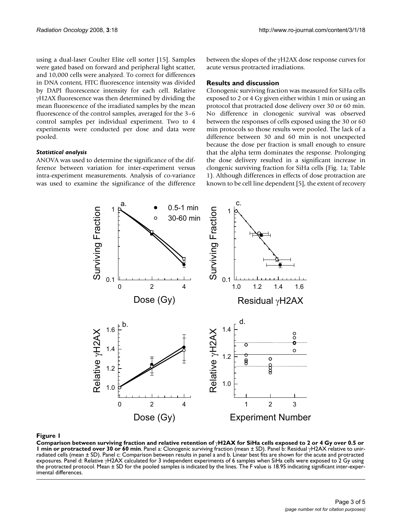using a dual-laser Coulter Elite cell sorter [15]. Samples were gated based on forward and peripheral light scatter, and 10,000 cells were analyzed. To correct for differences in DNA content, FITC fluorescence intensity was divided by DAPI fluorescence intensity for each cell. Relative γH2AX fluorescence was then determined by dividing the mean fluorescence of the irradiated samples by the mean fluorescence of the control samples, averaged for the 3–6 control samples per individual experiment. Two to 4 experiments were conducted per dose and data were pooled.

### *Statistical analysis*

ANOVA was used to determine the significance of the difference between variation for inter-experiment versus intra-experiment measurements. Analysis of co-variance was used to examine the significance of the difference between the slopes of the γH2AX dose response curves for acute versus protracted irradiations.

### **Results and discussion**

Clonogenic surviving fraction was measured for SiHa cells exposed to 2 or 4 Gy given either within 1 min or using an protocol that protracted dose delivery over 30 or 60 min. No difference in clonogenic survival was observed between the responses of cells exposed using the 30 or 60 min protocols so those results were pooled. The lack of a difference between 30 and 60 min is not unexpected because the dose per fraction is small enough to ensure that the alpha term dominates the response. Prolonging the dose delivery resulted in a significant increase in clongenic surviving fraction for SiHa cells (Fig. 1a; Table 1). Although differences in effects of dose protraction are known to be cell line dependent [5], the extent of recovery



**Comparison between surviving fraction and relative retention of** γ**H2AX for SiHa cells exposed to 2 or 4 Gy over 0.5 or 1 min or protracted over 30 or 60 min**. Panel a: Clonogenic surviving fraction (mean ± SD). Panel b: Residual γH2AX relative to unirradiated cells (mean ± SD). Panel c: Comparison between results in panel a and b. Linear best fits are shown for the acute and protracted exposures. Panel d: Relative γH2AX calculated for 3 independent experiments of 6 samples when SiHa cells were exposed to 2 Gy using the protracted protocol. Mean ± SD for the pooled samples is indicated by the lines. The F value is 18.95 indicating significant inter-experimental differences.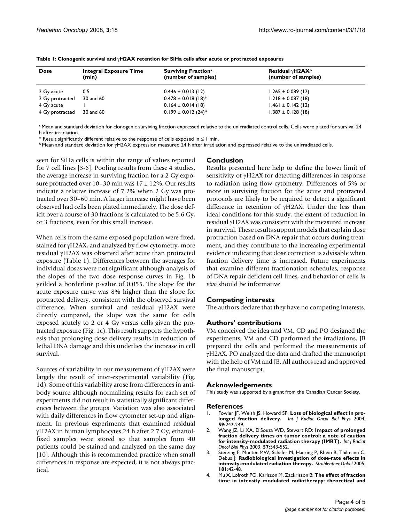| <b>Dose</b>     | Integral Exposure Time<br>(min) | <b>Surviving Fractiona</b><br>(number of samples) | Residual $\gamma$ H2AX <sup>b</sup><br>(number of samples) |
|-----------------|---------------------------------|---------------------------------------------------|------------------------------------------------------------|
| 2 Gy acute      | 0.5                             | $0.446 \pm 0.013$ (12)                            | $1.265 \pm 0.089$ (12)                                     |
| 2 Gy protracted | 30 and 60                       | $0.478 \pm 0.018$ (18) <sup>*</sup>               | $1.218 \pm 0.087$ (18)                                     |
| 4 Gy acute      |                                 | $0.164 \pm 0.014$ (18)                            | $1.461 \pm 0.142$ (12)                                     |
| 4 Gy protracted | 30 and 60                       | $0.199 \pm 0.012$ (24) <sup>*</sup>               | $1.387 \pm 0.128$ (18)                                     |

**Table 1: Clonogenic survival and** γ**H2AX retention for SiHa cells after acute or protracted exposures**

<sup>a</sup> Mean and standard deviation for clonogenic surviving fraction expressed relative to the unirradiated control cells. Cells were plated for survival 24 h after irradiation.

\* Result significantly different relative to the response of cells exposed in ≤ 1 min.

b Mean and standard deviation for γH2AX expression measured 24 h after irradiation and expressed relative to the unirradiated cells.

seen for SiHa cells is within the range of values reported for 7 cell lines [3-6]. Pooling results from these 4 studies, the average increase in surviving fraction for a 2 Gy exposure protracted over 10–30 min was  $17 \pm 12$ %. Our results indicate a relative increase of 7.2% when 2 Gy was protracted over 30–60 min. A larger increase might have been observed had cells been plated immediately. The dose deficit over a course of 30 fractions is calculated to be 5.6 Gy, or 3 fractions, even for this small increase.

When cells from the same exposed population were fixed, stained for γH2AX, and analyzed by flow cytometry, more residual γH2AX was observed after acute than protracted exposure (Table 1). Differences between the averages for individual doses were not significant although analysis of the slopes of the two dose response curves in Fig. 1b yeilded a borderline p-value of 0.055. The slope for the acute exposure curve was 8% higher than the slope for protracted delivery, consistent with the observed survival difference. When survival and residual γH2AX were directly compared, the slope was the same for cells exposed acutely to 2 or 4 Gy versus cells given the protracted exposure (Fig. 1c). This result supports the hypothesis that prolonging dose delivery results in reduction of lethal DNA damage and this underlies the increase in cell survival.

Sources of variability in our measurement of γH2AX were largely the result of inter-experimental variability (Fig. 1d). Some of this variability arose from differences in antibody source although normalizing results for each set of experiments did not result in statistically significant differences between the groups. Variation was also associated with daily differences in flow cytometer set-up and alignment. In previous experiments that examined residual γH2AX in human lymphocytes 24 h after 2.7 Gy, ethanolfixed samples were stored so that samples from 40 patients could be stained and analyzed on the same day [10]. Although this is recommended practice when small differences in response are expected, it is not always practical.

### **Conclusion**

Results presented here help to define the lower limit of sensitivity of γH2AX for detecting differences in response to radiation using flow cytometry. Differences of 5% or more in surviving fraction for the acute and protracted protocols are likely to be required to detect a significant difference in retention of γH2AX. Under the less than ideal conditions for this study, the extent of reduction in residual γH2AX was consistent with the measured increase in survival. These results support models that explain dose protraction based on DNA repair that occurs during treatment, and they contribute to the increasing experimental evidence indicating that dose correction is advisable when fraction delivery time is increased. Future experiments that examine different fractionation schedules, response of DNA repair deficient cell lines, and behavior of cells *in vivo* should be informative.

# **Competing interests**

The authors declare that they have no competing interests.

#### **Authors' contributions**

VM conceived the idea and VM, CD and PO designed the experiments, VM and CD performed the irradiations, JB prepared the cells and performed the measurements of γH2AX, PO analyzed the data and drafted the manuscript with the help of VM and JB. All authors read and approved the final manuscript.

#### **Acknowledgements**

This study was supported by a grant from the Canadian Cancer Society.

#### **References**

- 1. Fowler JF, Welsh JS, Howard SP: **[Loss of biological effect in pro](http://www.ncbi.nlm.nih.gov/entrez/query.fcgi?cmd=Retrieve&db=PubMed&dopt=Abstract&list_uids=15093921)[longed fraction delivery.](http://www.ncbi.nlm.nih.gov/entrez/query.fcgi?cmd=Retrieve&db=PubMed&dopt=Abstract&list_uids=15093921)** *Int J Radiat Oncol Biol Phys* 2004, **59:**242-249.
- 2. Wang JZ, Li XA, D'Souza WD, Stewart RD: **[Impact of prolonged](http://www.ncbi.nlm.nih.gov/entrez/query.fcgi?cmd=Retrieve&db=PubMed&dopt=Abstract&list_uids=12957268) [fraction delivery times on tumor control: a note of caution](http://www.ncbi.nlm.nih.gov/entrez/query.fcgi?cmd=Retrieve&db=PubMed&dopt=Abstract&list_uids=12957268) [for intensity-modulated radiation therapy \(IMRT\).](http://www.ncbi.nlm.nih.gov/entrez/query.fcgi?cmd=Retrieve&db=PubMed&dopt=Abstract&list_uids=12957268)** *Int J Radiat Oncol Biol Phys* 2003, **57:**543-552.
- 3. Sterzing F, Munter MW, Schafer M, Haering P, Rhein B, Thilmann C, Debus J: **[Radiobiological investigation of dose-rate effects in](http://www.ncbi.nlm.nih.gov/entrez/query.fcgi?cmd=Retrieve&db=PubMed&dopt=Abstract&list_uids=15660192) [intensity-modulated radiation therapy.](http://www.ncbi.nlm.nih.gov/entrez/query.fcgi?cmd=Retrieve&db=PubMed&dopt=Abstract&list_uids=15660192)** *Strahlenther Onkol* 2005, **181:**42-48.
- 4. Mu X, Lofroth PO, Karlsson M, Zackrisson B: **[The effect of fraction](http://www.ncbi.nlm.nih.gov/entrez/query.fcgi?cmd=Retrieve&db=PubMed&dopt=Abstract&list_uids=12972314) [time in intensity modulated radiotherapy: theoretical and](http://www.ncbi.nlm.nih.gov/entrez/query.fcgi?cmd=Retrieve&db=PubMed&dopt=Abstract&list_uids=12972314)**